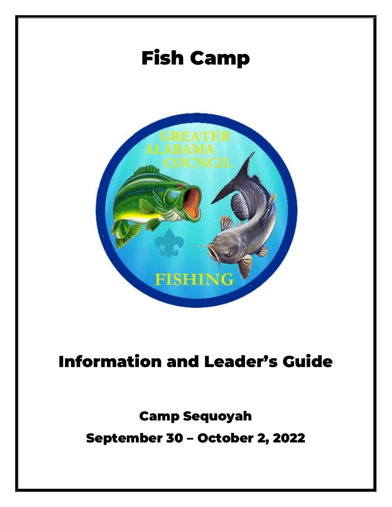

# Information and Leader's Guide

## Camp Sequoyah September 30 – October 2, 2022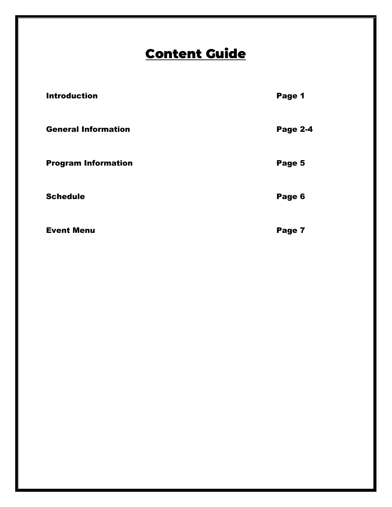### Content Guide

| <b>Introduction</b>        | Page 1          |
|----------------------------|-----------------|
| <b>General Information</b> | <b>Page 2-4</b> |
| <b>Program Information</b> | Page 5          |
| <b>Schedule</b>            | Page 6          |
| <b>Event Menu</b>          | Page 7          |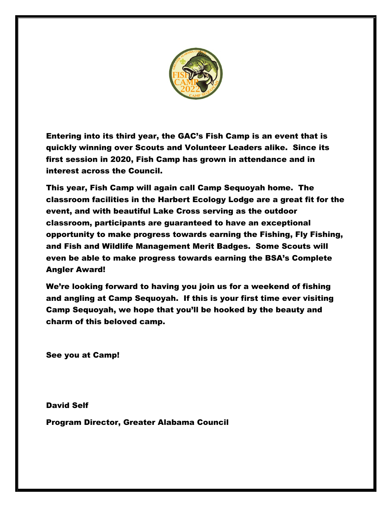

Entering into its third year, the GAC's Fish Camp is an event that is quickly winning over Scouts and Volunteer Leaders alike. Since its first session in 2020, Fish Camp has grown in attendance and in interest across the Council.

This year, Fish Camp will again call Camp Sequoyah home. The classroom facilities in the Harbert Ecology Lodge are a great fit for the event, and with beautiful Lake Cross serving as the outdoor classroom, participants are guaranteed to have an exceptional opportunity to make progress towards earning the Fishing, Fly Fishing, and Fish and Wildlife Management Merit Badges. Some Scouts will even be able to make progress towards earning the BSA's Complete Angler Award!

We're looking forward to having you join us for a weekend of fishing and angling at Camp Sequoyah. If this is your first time ever visiting Camp Sequoyah, we hope that you'll be hooked by the beauty and charm of this beloved camp.

See you at Camp!

David Self Program Director, Greater Alabama Council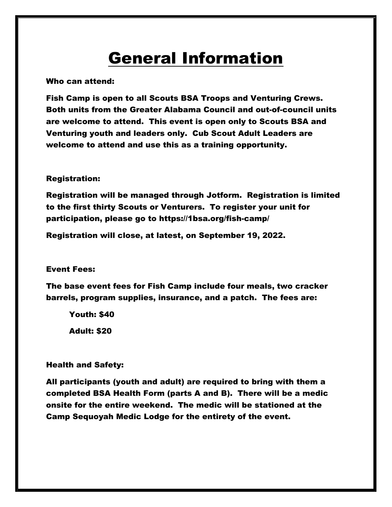### General Information

Who can attend:

Fish Camp is open to all Scouts BSA Troops and Venturing Crews. Both units from the Greater Alabama Council and out-of-council units are welcome to attend. This event is open only to Scouts BSA and Venturing youth and leaders only. Cub Scout Adult Leaders are welcome to attend and use this as a training opportunity.

#### Registration:

Registration will be managed through Jotform. Registration is limited to the first thirty Scouts or Venturers. To register your unit for participation, please go to https://1bsa.org/fish-camp/

Registration will close, at latest, on September 19, 2022.

#### Event Fees:

The base event fees for Fish Camp include four meals, two cracker barrels, program supplies, insurance, and a patch. The fees are:

Youth: \$40 Adult: \$20

#### Health and Safety:

All participants (youth and adult) are required to bring with them a completed BSA Health Form (parts A and B). There will be a medic onsite for the entire weekend. The medic will be stationed at the Camp Sequoyah Medic Lodge for the entirety of the event.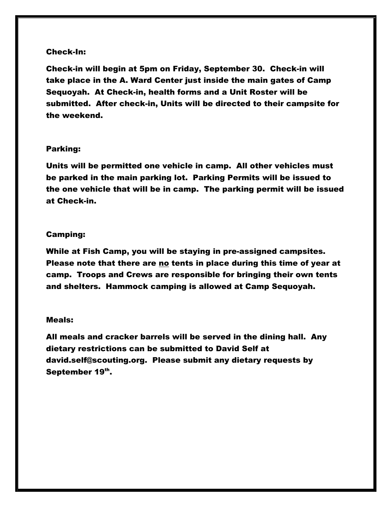#### Check-In:

Check-in will begin at 5pm on Friday, September 30. Check-in will take place in the A. Ward Center just inside the main gates of Camp Sequoyah. At Check-in, health forms and a Unit Roster will be submitted. After check-in, Units will be directed to their campsite for the weekend.

#### Parking:

Units will be permitted one vehicle in camp. All other vehicles must be parked in the main parking lot. Parking Permits will be issued to the one vehicle that will be in camp. The parking permit will be issued at Check-in.

#### Camping:

While at Fish Camp, you will be staying in pre-assigned campsites. Please note that there are no tents in place during this time of year at camp. Troops and Crews are responsible for bringing their own tents and shelters. Hammock camping is allowed at Camp Sequoyah.

#### Meals:

All meals and cracker barrels will be served in the dining hall. Any dietary restrictions can be submitted to David Self at david.self@scouting.org. Please submit any dietary requests by September 19th.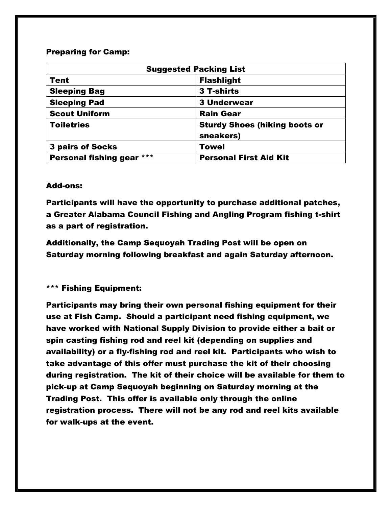#### Preparing for Camp:

| <b>Suggested Packing List</b> |                                                   |  |  |
|-------------------------------|---------------------------------------------------|--|--|
| <b>Tent</b>                   | <b>Flashlight</b>                                 |  |  |
| <b>Sleeping Bag</b>           | 3 T-shirts                                        |  |  |
| <b>Sleeping Pad</b>           | <b>3 Underwear</b>                                |  |  |
| <b>Scout Uniform</b>          | <b>Rain Gear</b>                                  |  |  |
| <b>Toiletries</b>             | <b>Sturdy Shoes (hiking boots or</b><br>sneakers) |  |  |
| <b>3 pairs of Socks</b>       | <b>Towel</b>                                      |  |  |
| Personal fishing gear ***     | <b>Personal First Aid Kit</b>                     |  |  |

#### Add-ons:

Participants will have the opportunity to purchase additional patches, a Greater Alabama Council Fishing and Angling Program fishing t-shirt as a part of registration.

Additionally, the Camp Sequoyah Trading Post will be open on Saturday morning following breakfast and again Saturday afternoon.

#### \*\*\* Fishing Equipment:

Participants may bring their own personal fishing equipment for their use at Fish Camp. Should a participant need fishing equipment, we have worked with National Supply Division to provide either a bait or spin casting fishing rod and reel kit (depending on supplies and availability) or a fly-fishing rod and reel kit. Participants who wish to take advantage of this offer must purchase the kit of their choosing during registration. The kit of their choice will be available for them to pick-up at Camp Sequoyah beginning on Saturday morning at the Trading Post. This offer is available only through the online registration process. There will not be any rod and reel kits available for walk-ups at the event.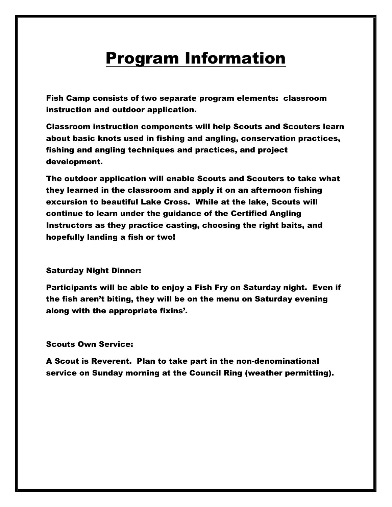### **Program Information**

Fish Camp consists of two separate program elements: classroom instruction and outdoor application.

Classroom instruction components will help Scouts and Scouters learn about basic knots used in fishing and angling, conservation practices, fishing and angling techniques and practices, and project development.

The outdoor application will enable Scouts and Scouters to take what they learned in the classroom and apply it on an afternoon fishing excursion to beautiful Lake Cross. While at the lake, Scouts will continue to learn under the guidance of the Certified Angling Instructors as they practice casting, choosing the right baits, and hopefully landing a fish or two!

#### Saturday Night Dinner:

Participants will be able to enjoy a Fish Fry on Saturday night. Even if the fish aren't biting, they will be on the menu on Saturday evening along with the appropriate fixins'.

#### Scouts Own Service:

A Scout is Reverent. Plan to take part in the non-denominational service on Sunday morning at the Council Ring (weather permitting).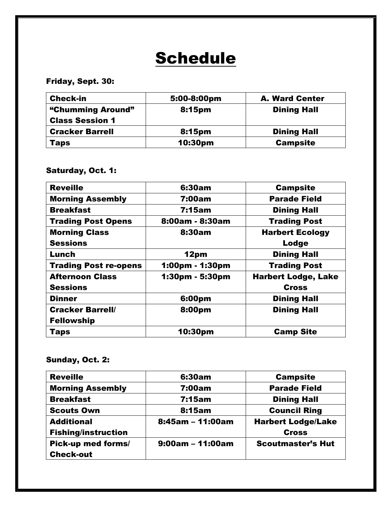### **Schedule**

### Friday, Sept. 30:

| <b>Check-in</b>                             | 5:00-8:00pm | <b>A. Ward Center</b> |
|---------------------------------------------|-------------|-----------------------|
| "Chumming Around"<br><b>Class Session 1</b> | 8:15pm      | <b>Dining Hall</b>    |
| <b>Cracker Barrell</b>                      | 8:15pm      | <b>Dining Hall</b>    |
| <b>Taps</b>                                 | 10:30pm     | <b>Campsite</b>       |

### Saturday, Oct. 1:

| <b>Reveille</b>              | 6:30am          | <b>Campsite</b>            |
|------------------------------|-----------------|----------------------------|
| <b>Morning Assembly</b>      | <b>7:00am</b>   | <b>Parade Field</b>        |
| <b>Breakfast</b>             | <b>7:15am</b>   | <b>Dining Hall</b>         |
| <b>Trading Post Opens</b>    | 8:00am - 8:30am | <b>Trading Post</b>        |
| <b>Morning Class</b>         | 8:30am          | <b>Harbert Ecology</b>     |
| <b>Sessions</b>              |                 | Lodge                      |
| Lunch                        | 12pm            | <b>Dining Hall</b>         |
| <b>Trading Post re-opens</b> | 1:00pm - 1:30pm | <b>Trading Post</b>        |
| <b>Afternoon Class</b>       | 1:30pm - 5:30pm | <b>Harbert Lodge, Lake</b> |
| <b>Sessions</b>              |                 | <b>Cross</b>               |
| <b>Dinner</b>                | 6:00pm          | <b>Dining Hall</b>         |
| <b>Cracker Barrell/</b>      | 8:00pm          | <b>Dining Hall</b>         |
| <b>Fellowship</b>            |                 |                            |
| <b>Taps</b>                  | 10:30pm         | <b>Camp Site</b>           |

### Sunday, Oct. 2:

| <b>Reveille</b>            | 6:30am             | <b>Campsite</b>           |
|----------------------------|--------------------|---------------------------|
| <b>Morning Assembly</b>    | 7:00am             | <b>Parade Field</b>       |
| <b>Breakfast</b>           | 7:15am             | <b>Dining Hall</b>        |
| <b>Scouts Own</b>          | 8:15am             | <b>Council Ring</b>       |
| <b>Additional</b>          | $8:45am - 11:00am$ | <b>Harbert Lodge/Lake</b> |
| <b>Fishing/instruction</b> |                    | <b>Cross</b>              |
| Pick-up med forms/         | $9:00am - 11:00am$ | <b>Scoutmaster's Hut</b>  |
| <b>Check-out</b>           |                    |                           |